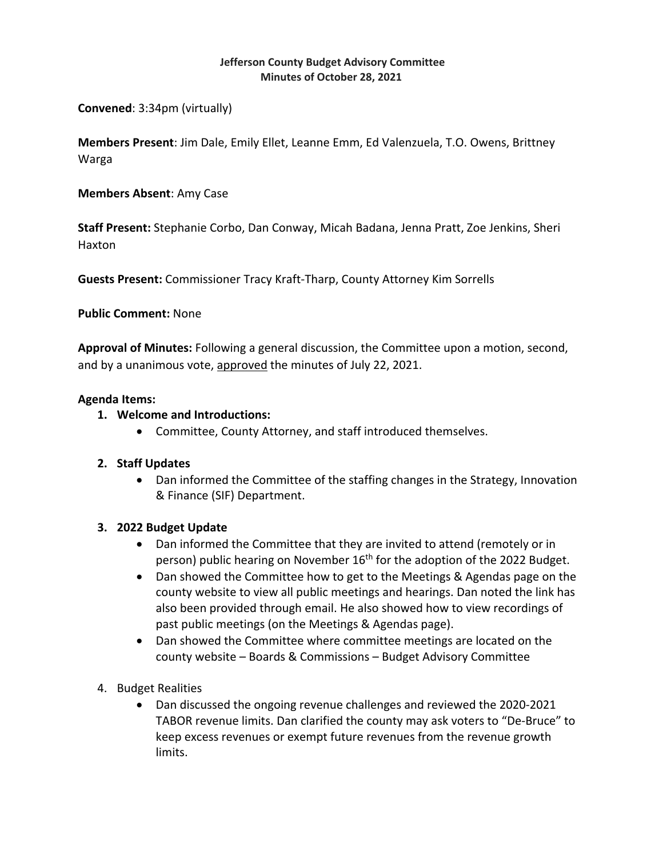#### **Jefferson County Budget Advisory Committee Minutes of October 28, 2021**

**Convened**: 3:34pm (virtually)

**Members Present**: Jim Dale, Emily Ellet, Leanne Emm, Ed Valenzuela, T.O. Owens, Brittney Warga

### **Members Absent**: Amy Case

**Staff Present:** Stephanie Corbo, Dan Conway, Micah Badana, Jenna Pratt, Zoe Jenkins, Sheri Haxton

**Guests Present:** Commissioner Tracy Kraft‐Tharp, County Attorney Kim Sorrells

### **Public Comment:** None

**Approval of Minutes:** Following a general discussion, the Committee upon a motion, second, and by a unanimous vote, approved the minutes of July 22, 2021.

### **Agenda Items:**

# **1. Welcome and Introductions:**

Committee, County Attorney, and staff introduced themselves.

# **2. Staff Updates**

 Dan informed the Committee of the staffing changes in the Strategy, Innovation & Finance (SIF) Department.

# **3. 2022 Budget Update**

- Dan informed the Committee that they are invited to attend (remotely or in person) public hearing on November 16<sup>th</sup> for the adoption of the 2022 Budget.
- Dan showed the Committee how to get to the Meetings & Agendas page on the county website to view all public meetings and hearings. Dan noted the link has also been provided through email. He also showed how to view recordings of past public meetings (on the Meetings & Agendas page).
- Dan showed the Committee where committee meetings are located on the county website – Boards & Commissions – Budget Advisory Committee
- 4. Budget Realities
	- Dan discussed the ongoing revenue challenges and reviewed the 2020-2021 TABOR revenue limits. Dan clarified the county may ask voters to "De‐Bruce" to keep excess revenues or exempt future revenues from the revenue growth limits.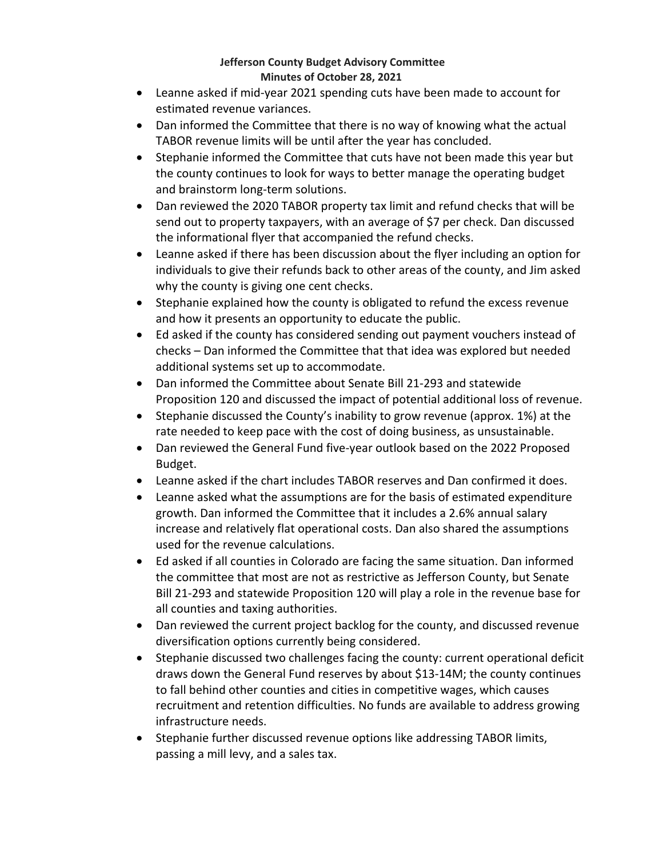### **Jefferson County Budget Advisory Committee Minutes of October 28, 2021**

- Leanne asked if mid‐year 2021 spending cuts have been made to account for estimated revenue variances.
- Dan informed the Committee that there is no way of knowing what the actual TABOR revenue limits will be until after the year has concluded.
- Stephanie informed the Committee that cuts have not been made this year but the county continues to look for ways to better manage the operating budget and brainstorm long‐term solutions.
- Dan reviewed the 2020 TABOR property tax limit and refund checks that will be send out to property taxpayers, with an average of \$7 per check. Dan discussed the informational flyer that accompanied the refund checks.
- Leanne asked if there has been discussion about the flyer including an option for individuals to give their refunds back to other areas of the county, and Jim asked why the county is giving one cent checks.
- Stephanie explained how the county is obligated to refund the excess revenue and how it presents an opportunity to educate the public.
- Ed asked if the county has considered sending out payment vouchers instead of checks – Dan informed the Committee that that idea was explored but needed additional systems set up to accommodate.
- Dan informed the Committee about Senate Bill 21-293 and statewide Proposition 120 and discussed the impact of potential additional loss of revenue.
- Stephanie discussed the County's inability to grow revenue (approx. 1%) at the rate needed to keep pace with the cost of doing business, as unsustainable.
- Dan reviewed the General Fund five-year outlook based on the 2022 Proposed Budget.
- Leanne asked if the chart includes TABOR reserves and Dan confirmed it does.
- Leanne asked what the assumptions are for the basis of estimated expenditure growth. Dan informed the Committee that it includes a 2.6% annual salary increase and relatively flat operational costs. Dan also shared the assumptions used for the revenue calculations.
- Ed asked if all counties in Colorado are facing the same situation. Dan informed the committee that most are not as restrictive as Jefferson County, but Senate Bill 21‐293 and statewide Proposition 120 will play a role in the revenue base for all counties and taxing authorities.
- Dan reviewed the current project backlog for the county, and discussed revenue diversification options currently being considered.
- Stephanie discussed two challenges facing the county: current operational deficit draws down the General Fund reserves by about \$13‐14M; the county continues to fall behind other counties and cities in competitive wages, which causes recruitment and retention difficulties. No funds are available to address growing infrastructure needs.
- Stephanie further discussed revenue options like addressing TABOR limits, passing a mill levy, and a sales tax.